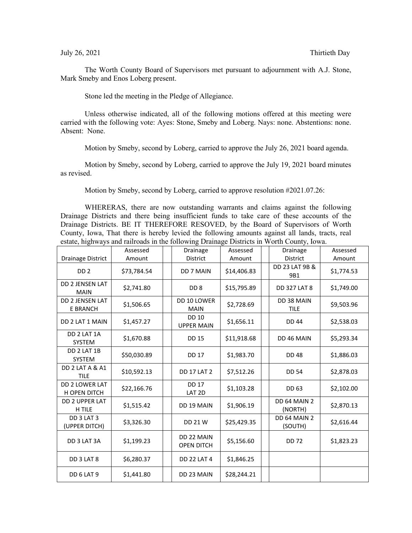The Worth County Board of Supervisors met pursuant to adjournment with A.J. Stone, Mark Smeby and Enos Loberg present.

Stone led the meeting in the Pledge of Allegiance.

Unless otherwise indicated, all of the following motions offered at this meeting were carried with the following vote: Ayes: Stone, Smeby and Loberg. Nays: none. Abstentions: none. Absent: None.

Motion by Smeby, second by Loberg, carried to approve the July 26, 2021 board agenda.

Motion by Smeby, second by Loberg, carried to approve the July 19, 2021 board minutes as revised.

Motion by Smeby, second by Loberg, carried to approve resolution #2021.07.26:

WHERERAS, there are now outstanding warrants and claims against the following Drainage Districts and there being insufficient funds to take care of these accounts of the Drainage Districts. BE IT THEREFORE RESOVED, by the Board of Supervisors of Worth County, Iowa, That there is hereby levied the following amounts against all lands, tracts, real estate, highways and railroads in the following Drainage Districts in Worth County, Iowa.

|                                           | Assessed              | Drainage                          | Assessed              | Drainage                          | Assessed             |
|-------------------------------------------|-----------------------|-----------------------------------|-----------------------|-----------------------------------|----------------------|
| Drainage District<br>DD <sub>2</sub>      | Amount<br>\$73,784.54 | District<br>DD 7 MAIN             | Amount<br>\$14,406.83 | District<br>DD 23 LAT 9B &<br>9B1 | Amount<br>\$1,774.53 |
| <b>DD 2 JENSEN LAT</b><br><b>MAIN</b>     | \$2,741.80            | DD <sub>8</sub>                   | \$15,795.89           | <b>DD 327 LAT 8</b>               | \$1,749.00           |
| <b>DD 2 JENSEN LAT</b><br><b>E BRANCH</b> | \$1,506.65            | DD 10 LOWER<br><b>MAIN</b>        | \$2,728.69            | DD 38 MAIN<br><b>TILE</b>         | \$9,503.96           |
| DD 2 LAT 1 MAIN                           | \$1,457.27            | <b>DD 10</b><br><b>UPPER MAIN</b> | \$1,656.11            | <b>DD 44</b>                      | \$2,538.03           |
| DD 2 LAT 1A<br><b>SYSTEM</b>              | \$1,670.88            | <b>DD 15</b>                      | \$11,918.68           | DD 46 MAIN                        | \$5,293.34           |
| DD 2 LAT 1B<br><b>SYSTEM</b>              | \$50,030.89           | <b>DD 17</b>                      | \$1,983.70            | <b>DD48</b>                       | \$1,886.03           |
| DD 2 LAT A & A1<br><b>TILE</b>            | \$10,592.13           | <b>DD 17 LAT 2</b>                | \$7,512.26            | <b>DD 54</b>                      | \$2,878.03           |
| DD 2 LOWER LAT<br><b>H OPEN DITCH</b>     | \$22,166.76           | <b>DD 17</b><br>LAT <sub>2D</sub> | \$1,103.28            | DD 63                             | \$2,102.00           |
| <b>DD 2 UPPER LAT</b><br>H TILE           | \$1,515.42            | DD 19 MAIN                        | \$1,906.19            | DD 64 MAIN 2<br>(NORTH)           | \$2,870.13           |
| DD 3 LAT 3<br>(UPPER DITCH)               | \$3,326.30            | DD 21 W                           | \$25,429.35           | DD 64 MAIN 2<br>(SOUTH)           | \$2,616.44           |
| DD 3 LAT 3A                               | \$1,199.23            | DD 22 MAIN<br><b>OPEN DITCH</b>   | \$5,156.60            | <b>DD 72</b>                      | \$1,823.23           |
| DD 3 LAT 8                                | \$6,280.37            | <b>DD 22 LAT 4</b>                | \$1,846.25            |                                   |                      |
| DD 6 LAT 9                                | \$1,441.80            | DD 23 MAIN                        | \$28,244.21           |                                   |                      |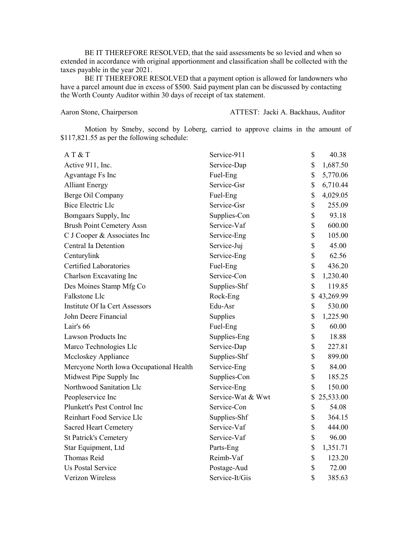BE IT THEREFORE RESOLVED, that the said assessments be so levied and when so extended in accordance with original apportionment and classification shall be collected with the taxes payable in the year 2021.

BE IT THEREFORE RESOLVED that a payment option is allowed for landowners who have a parcel amount due in excess of \$500. Said payment plan can be discussed by contacting the Worth County Auditor within 30 days of receipt of tax statement.

Aaron Stone, Chairperson ATTEST: Jacki A. Backhaus, Auditor

Motion by Smeby, second by Loberg, carried to approve claims in the amount of \$117,821.55 as per the following schedule:

| AT & T                                  | Service-911       | \$<br>40.38     |
|-----------------------------------------|-------------------|-----------------|
| Active 911, Inc.                        | Service-Dap       | \$<br>1,687.50  |
| Agvantage Fs Inc                        | Fuel-Eng          | \$<br>5,770.06  |
| <b>Alliant Energy</b>                   | Service-Gsr       | \$<br>6,710.44  |
| Berge Oil Company                       | Fuel-Eng          | \$<br>4,029.05  |
| <b>Bice Electric Llc</b>                | Service-Gsr       | \$<br>255.09    |
| Bomgaars Supply, Inc                    | Supplies-Con      | \$<br>93.18     |
| <b>Brush Point Cemetery Assn</b>        | Service-Vaf       | \$<br>600.00    |
| C J Cooper & Associates Inc             | Service-Eng       | \$<br>105.00    |
| Central Ia Detention                    | Service-Juj       | \$<br>45.00     |
| Centurylink                             | Service-Eng       | \$<br>62.56     |
| <b>Certified Laboratories</b>           | Fuel-Eng          | \$<br>436.20    |
| Charlson Excavating Inc                 | Service-Con       | \$<br>1,230.40  |
| Des Moines Stamp Mfg Co                 | Supplies-Shf      | \$<br>119.85    |
| Falkstone Llc                           | Rock-Eng          | \$<br>43,269.99 |
| Institute Of Ia Cert Assessors          | Edu-Asr           | \$<br>530.00    |
| John Deere Financial                    | Supplies          | \$<br>1,225.90  |
| Lair's 66                               | Fuel-Eng          | \$<br>60.00     |
| Lawson Products Inc                     | Supplies-Eng      | \$<br>18.88     |
| Marco Technologies Llc                  | Service-Dap       | \$<br>227.81    |
| Mccloskey Appliance                     | Supplies-Shf      | \$<br>899.00    |
| Mercyone North Iowa Occupational Health | Service-Eng       | \$<br>84.00     |
| Midwest Pipe Supply Inc                 | Supplies-Con      | \$<br>185.25    |
| Northwood Sanitation Llc                | Service-Eng       | \$<br>150.00    |
| Peopleservice Inc                       | Service-Wat & Wwt | \$<br>25,533.00 |
| Plunkett's Pest Control Inc             | Service-Con       | \$<br>54.08     |
| Reinhart Food Service Llc               | Supplies-Shf      | \$<br>364.15    |
| <b>Sacred Heart Cemetery</b>            | Service-Vaf       | \$<br>444.00    |
| <b>St Patrick's Cemetery</b>            | Service-Vaf       | \$<br>96.00     |
| Star Equipment, Ltd                     | Parts-Eng         | \$<br>1,351.71  |
| Thomas Reid                             | Reimb-Vaf         | \$<br>123.20    |
| <b>Us Postal Service</b>                | Postage-Aud       | \$<br>72.00     |
| Verizon Wireless                        | Service-It/Gis    | \$<br>385.63    |